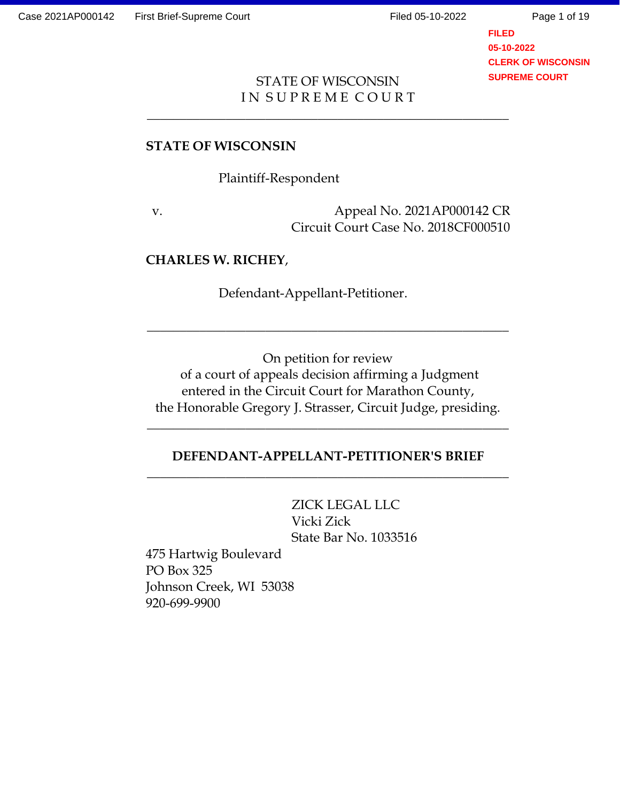Page 1 of 19

**FILED 05-10-2022 CLERK OF WISCONSIN SUPREME COURT**

## STATE OF WISCONSIN IN SUPREME COURT

\_\_\_\_\_\_\_\_\_\_\_\_\_\_\_\_\_\_\_\_\_\_\_\_\_\_\_\_\_\_\_\_\_\_\_\_\_\_\_\_\_\_\_\_\_\_\_\_\_\_\_\_\_\_\_

## **STATE OF WISCONSIN**

Plaintiff-Respondent

v. Appeal No. 2021AP000142 CR Circuit Court Case No. 2018CF000510

### **CHARLES W. RICHEY**,

Defendant-Appellant-Petitioner.

On petition for review of a court of appeals decision affirming a Judgment entered in the Circuit Court for Marathon County, the Honorable Gregory J. Strasser, Circuit Judge, presiding.

\_\_\_\_\_\_\_\_\_\_\_\_\_\_\_\_\_\_\_\_\_\_\_\_\_\_\_\_\_\_\_\_\_\_\_\_\_\_\_\_\_\_\_\_\_\_\_\_\_\_\_\_\_\_\_

# **DEFENDANT-APPELLANT-PETITIONER'S BRIEF**  $\overline{\phantom{a}}$  ,  $\overline{\phantom{a}}$  ,  $\overline{\phantom{a}}$  ,  $\overline{\phantom{a}}$  ,  $\overline{\phantom{a}}$  ,  $\overline{\phantom{a}}$  ,  $\overline{\phantom{a}}$  ,  $\overline{\phantom{a}}$  ,  $\overline{\phantom{a}}$  ,  $\overline{\phantom{a}}$  ,  $\overline{\phantom{a}}$  ,  $\overline{\phantom{a}}$  ,  $\overline{\phantom{a}}$  ,  $\overline{\phantom{a}}$  ,  $\overline{\phantom{a}}$  ,  $\overline{\phantom{a}}$

 $\overline{\phantom{a}}$  ,  $\overline{\phantom{a}}$  ,  $\overline{\phantom{a}}$  ,  $\overline{\phantom{a}}$  ,  $\overline{\phantom{a}}$  ,  $\overline{\phantom{a}}$  ,  $\overline{\phantom{a}}$  ,  $\overline{\phantom{a}}$  ,  $\overline{\phantom{a}}$  ,  $\overline{\phantom{a}}$  ,  $\overline{\phantom{a}}$  ,  $\overline{\phantom{a}}$  ,  $\overline{\phantom{a}}$  ,  $\overline{\phantom{a}}$  ,  $\overline{\phantom{a}}$  ,  $\overline{\phantom{a}}$ 

ZICK LEGAL LLC Vicki Zick State Bar No. 1033516

475 Hartwig Boulevard PO Box 325 Johnson Creek, WI 53038 920-699-9900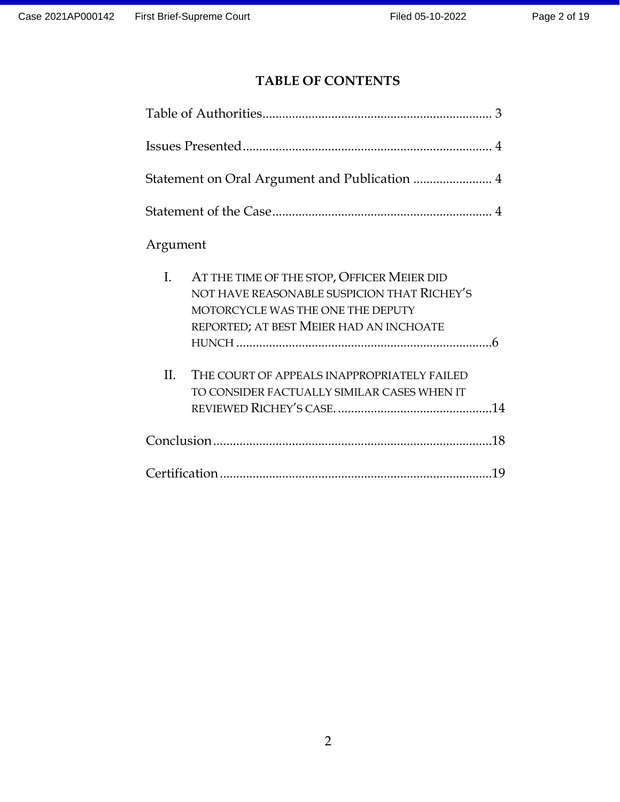# **TABLE OF CONTENTS**

| Argument |                                                                                                                                                                           |  |
|----------|---------------------------------------------------------------------------------------------------------------------------------------------------------------------------|--|
| I.       | AT THE TIME OF THE STOP, OFFICER MEIER DID<br>NOT HAVE REASONABLE SUSPICION THAT RICHEY'S<br>MOTORCYCLE WAS THE ONE THE DEPUTY<br>REPORTED; AT BEST MEIER HAD AN INCHOATE |  |
| II.      | THE COURT OF APPEALS INAPPROPRIATELY FAILED<br>TO CONSIDER FACTUALLY SIMILAR CASES WHEN IT                                                                                |  |
|          |                                                                                                                                                                           |  |
|          |                                                                                                                                                                           |  |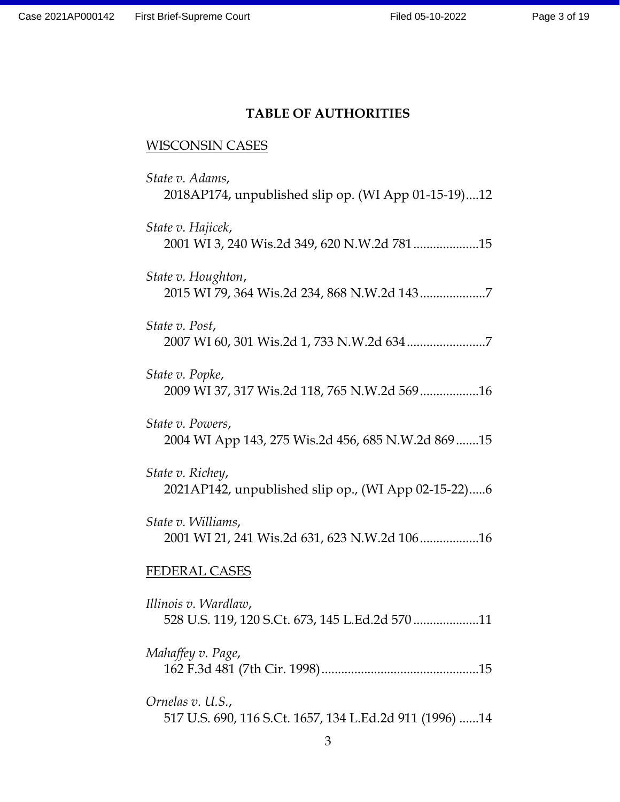# **TABLE OF AUTHORITIES**

# WISCONSIN CASES

| State v. Adams,<br>2018AP174, unpublished slip op. (WI App 01-15-19)12      |
|-----------------------------------------------------------------------------|
| State v. Hajicek,<br>2001 WI 3, 240 Wis.2d 349, 620 N.W.2d 78115            |
| State v. Houghton,<br>2015 WI 79, 364 Wis.2d 234, 868 N.W.2d 1437           |
| State v. Post,                                                              |
| State v. Popke,<br>2009 WI 37, 317 Wis.2d 118, 765 N.W.2d 56916             |
| State v. Powers,<br>2004 WI App 143, 275 Wis.2d 456, 685 N.W.2d 869 15      |
| State v. Richey,<br>2021AP142, unpublished slip op., (WI App 02-15-22)6     |
| State v. Williams,<br>2001 WI 21, 241 Wis.2d 631, 623 N.W.2d 10616          |
| <b>FEDERAL CASES</b>                                                        |
| Illinois v. Wardlaw,<br>528 U.S. 119, 120 S.Ct. 673, 145 L.Ed.2d 57011      |
| Mahaffey v. Page,                                                           |
| Ornelas v. U.S.,<br>517 U.S. 690, 116 S.Ct. 1657, 134 L.Ed.2d 911 (1996) 14 |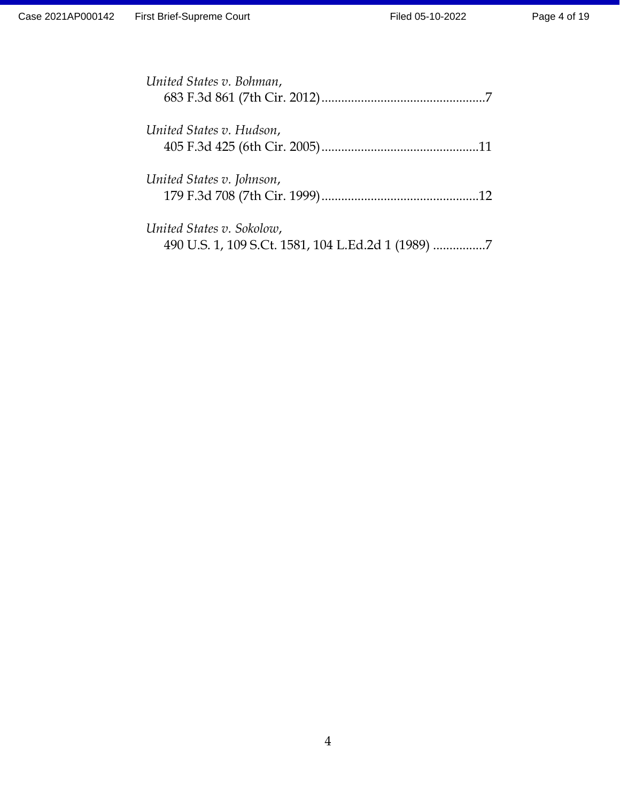| United States v. Bohman,                                                        |  |
|---------------------------------------------------------------------------------|--|
| United States v. Hudson,                                                        |  |
| United States v. Johnson,                                                       |  |
| United States v. Sokolow,<br>490 U.S. 1, 109 S.Ct. 1581, 104 L.Ed.2d 1 (1989) 7 |  |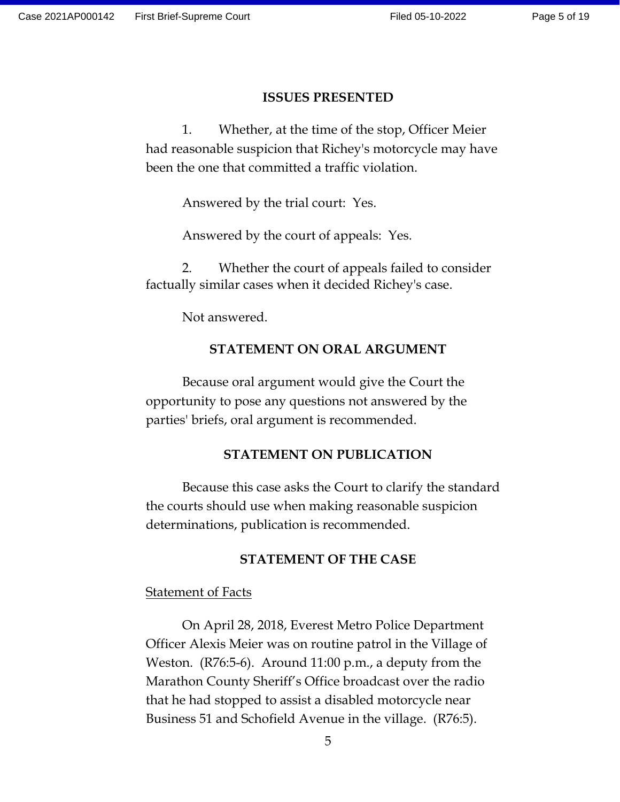#### **ISSUES PRESENTED**

1. Whether, at the time of the stop, Officer Meier had reasonable suspicion that Richey's motorcycle may have been the one that committed a traffic violation.

Answered by the trial court: Yes.

Answered by the court of appeals: Yes.

2. Whether the court of appeals failed to consider factually similar cases when it decided Richey's case.

Not answered.

#### **STATEMENT ON ORAL ARGUMENT**

Because oral argument would give the Court the opportunity to pose any questions not answered by the parties' briefs, oral argument is recommended.

#### **STATEMENT ON PUBLICATION**

Because this case asks the Court to clarify the standard the courts should use when making reasonable suspicion determinations, publication is recommended.

#### **STATEMENT OF THE CASE**

#### **Statement of Facts**

On April 28, 2018, Everest Metro Police Department Officer Alexis Meier was on routine patrol in the Village of Weston. (R76:5-6). Around 11:00 p.m., a deputy from the Marathon County Sheriff's Office broadcast over the radio that he had stopped to assist a disabled motorcycle near Business 51 and Schofield Avenue in the village. (R76:5).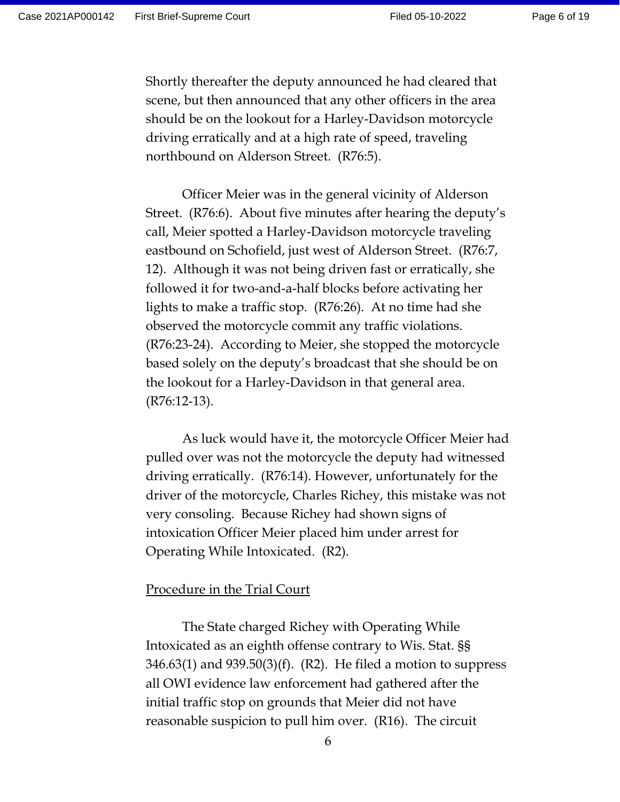Shortly thereafter the deputy announced he had cleared that scene, but then announced that any other officers in the area should be on the lookout for a Harley-Davidson motorcycle driving erratically and at a high rate of speed, traveling northbound on Alderson Street. (R76:5).

Officer Meier was in the general vicinity of Alderson Street. (R76:6). About five minutes after hearing the deputy's call, Meier spotted a Harley-Davidson motorcycle traveling eastbound on Schofield, just west of Alderson Street. (R76:7, 12). Although it was not being driven fast or erratically, she followed it for two-and-a-half blocks before activating her lights to make a traffic stop. (R76:26). At no time had she observed the motorcycle commit any traffic violations. (R76:23-24). According to Meier, she stopped the motorcycle based solely on the deputy's broadcast that she should be on the lookout for a Harley-Davidson in that general area. (R76:12-13).

As luck would have it, the motorcycle Officer Meier had pulled over was not the motorcycle the deputy had witnessed driving erratically. (R76:14). However, unfortunately for the driver of the motorcycle, Charles Richey, this mistake was not very consoling. Because Richey had shown signs of intoxication Officer Meier placed him under arrest for Operating While Intoxicated. (R2).

#### Procedure in the Trial Court

The State charged Richey with Operating While Intoxicated as an eighth offense contrary to Wis. Stat. §§  $346.63(1)$  and  $939.50(3)(f)$ . (R2). He filed a motion to suppress all OWI evidence law enforcement had gathered after the initial traffic stop on grounds that Meier did not have reasonable suspicion to pull him over. (R16). The circuit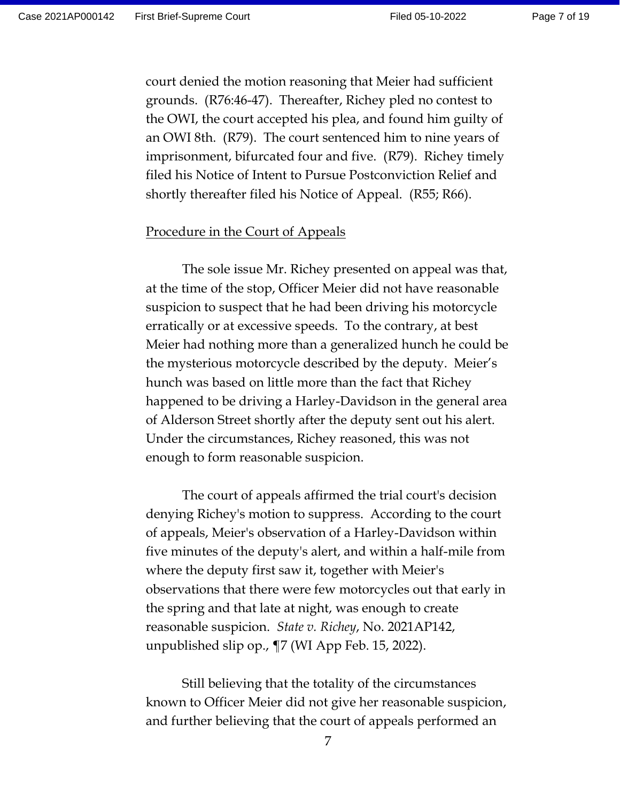court denied the motion reasoning that Meier had sufficient grounds. (R76:46-47). Thereafter, Richey pled no contest to the OWI, the court accepted his plea, and found him guilty of an OWI 8th. (R79). The court sentenced him to nine years of imprisonment, bifurcated four and five. (R79). Richey timely filed his Notice of Intent to Pursue Postconviction Relief and shortly thereafter filed his Notice of Appeal. (R55; R66).

#### Procedure in the Court of Appeals

The sole issue Mr. Richey presented on appeal was that, at the time of the stop, Officer Meier did not have reasonable suspicion to suspect that he had been driving his motorcycle erratically or at excessive speeds. To the contrary, at best Meier had nothing more than a generalized hunch he could be the mysterious motorcycle described by the deputy. Meier's hunch was based on little more than the fact that Richey happened to be driving a Harley-Davidson in the general area of Alderson Street shortly after the deputy sent out his alert. Under the circumstances, Richey reasoned, this was not enough to form reasonable suspicion.

The court of appeals affirmed the trial court's decision denying Richey's motion to suppress. According to the court of appeals, Meier's observation of a Harley-Davidson within five minutes of the deputy's alert, and within a half-mile from where the deputy first saw it, together with Meier's observations that there were few motorcycles out that early in the spring and that late at night, was enough to create reasonable suspicion. *State v. Richey*, No. 2021AP142, unpublished slip op., ¶7 (WI App Feb. 15, 2022).

Still believing that the totality of the circumstances known to Officer Meier did not give her reasonable suspicion, and further believing that the court of appeals performed an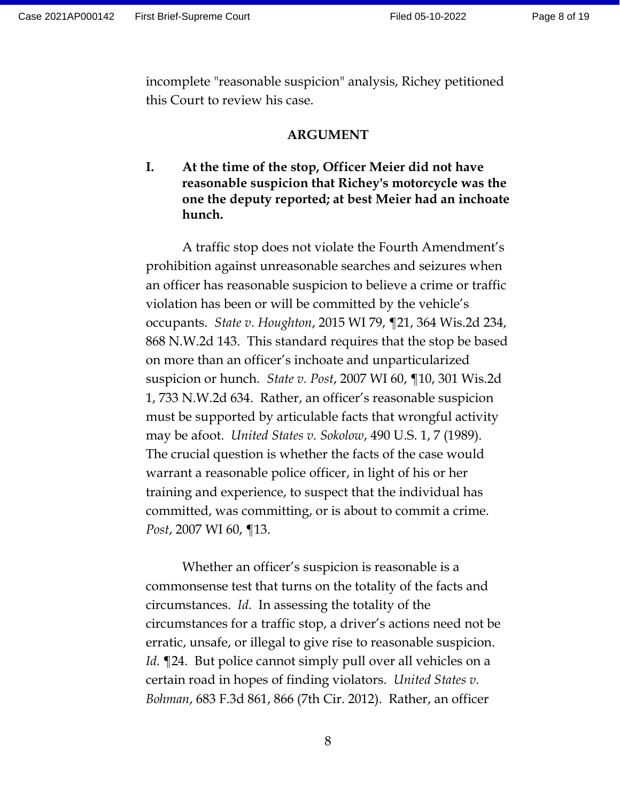incomplete "reasonable suspicion" analysis, Richey petitioned this Court to review his case.

#### **ARGUMENT**

# **I. At the time of the stop, Officer Meier did not have reasonable suspicion that Richey's motorcycle was the one the deputy reported; at best Meier had an inchoate hunch.**

A traffic stop does not violate the Fourth Amendment's prohibition against unreasonable searches and seizures when an officer has reasonable suspicion to believe a crime or traffic violation has been or will be committed by the vehicle's occupants. *State v. Houghton*, 2015 WI 79, ¶21, 364 Wis.2d 234, 868 N.W.2d 143. This standard requires that the stop be based on more than an officer's inchoate and unparticularized suspicion or hunch. *State v. Post*, 2007 WI 60, ¶10, 301 Wis.2d 1, 733 N.W.2d 634. Rather, an officer's reasonable suspicion must be supported by articulable facts that wrongful activity may be afoot. *United States v. Sokolow*, 490 U.S. 1, 7 (1989). The crucial question is whether the facts of the case would warrant a reasonable police officer, in light of his or her training and experience, to suspect that the individual has committed, was committing, or is about to commit a crime. *Post*, 2007 WI 60, ¶13.

Whether an officer's suspicion is reasonable is a commonsense test that turns on the totality of the facts and circumstances. *Id.* In assessing the totality of the circumstances for a traffic stop, a driver's actions need not be erratic, unsafe, or illegal to give rise to reasonable suspicion. *Id.* ¶24. But police cannot simply pull over all vehicles on a certain road in hopes of finding violators. *United States v. Bohman*, 683 F.3d 861, 866 (7th Cir. 2012). Rather, an officer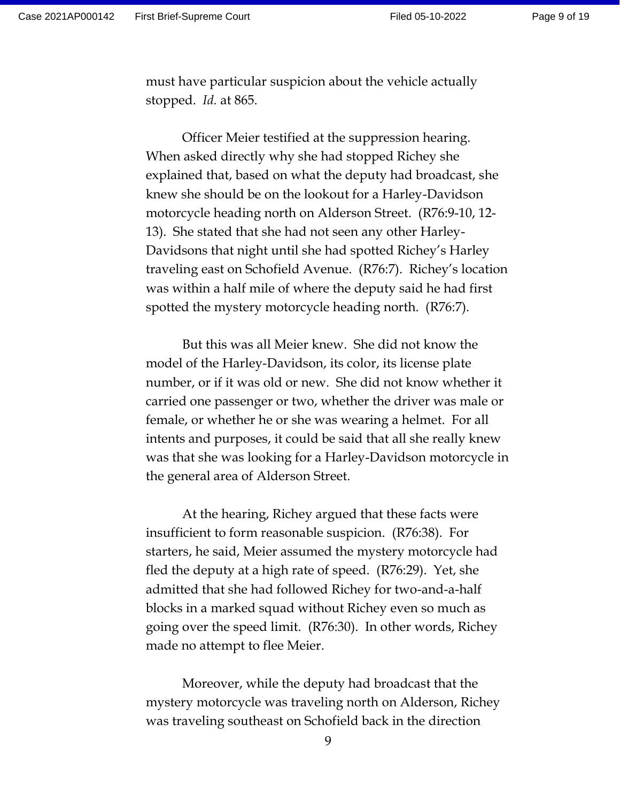Page 9 of 19

must have particular suspicion about the vehicle actually stopped. *Id.* at 865.

Officer Meier testified at the suppression hearing. When asked directly why she had stopped Richey she explained that, based on what the deputy had broadcast, she knew she should be on the lookout for a Harley-Davidson motorcycle heading north on Alderson Street. (R76:9-10, 12- 13). She stated that she had not seen any other Harley-Davidsons that night until she had spotted Richey's Harley traveling east on Schofield Avenue. (R76:7). Richey's location was within a half mile of where the deputy said he had first spotted the mystery motorcycle heading north. (R76:7).

But this was all Meier knew. She did not know the model of the Harley-Davidson, its color, its license plate number, or if it was old or new. She did not know whether it carried one passenger or two, whether the driver was male or female, or whether he or she was wearing a helmet. For all intents and purposes, it could be said that all she really knew was that she was looking for a Harley-Davidson motorcycle in the general area of Alderson Street.

At the hearing, Richey argued that these facts were insufficient to form reasonable suspicion. (R76:38). For starters, he said, Meier assumed the mystery motorcycle had fled the deputy at a high rate of speed. (R76:29). Yet, she admitted that she had followed Richey for two-and-a-half blocks in a marked squad without Richey even so much as going over the speed limit. (R76:30). In other words, Richey made no attempt to flee Meier.

Moreover, while the deputy had broadcast that the mystery motorcycle was traveling north on Alderson, Richey was traveling southeast on Schofield back in the direction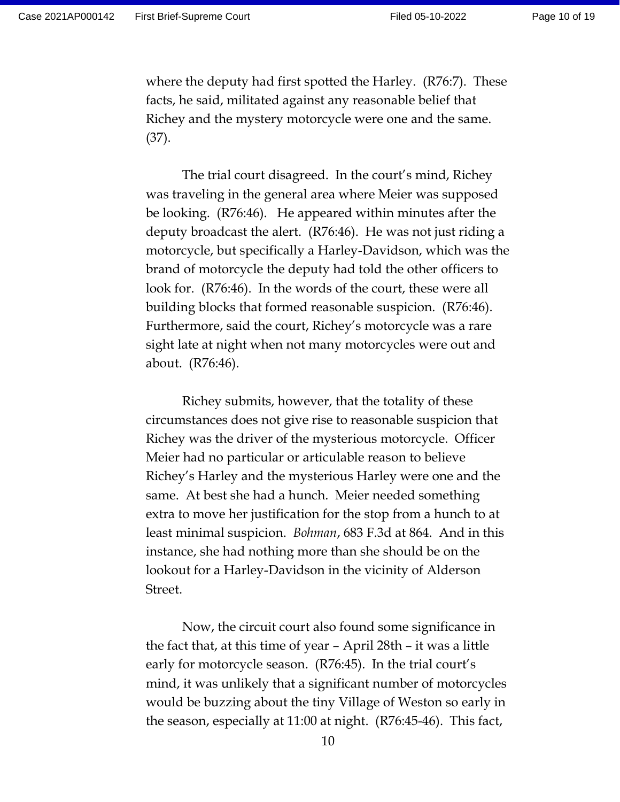where the deputy had first spotted the Harley. (R76:7). These facts, he said, militated against any reasonable belief that Richey and the mystery motorcycle were one and the same. (37).

The trial court disagreed. In the court's mind, Richey was traveling in the general area where Meier was supposed be looking. (R76:46). He appeared within minutes after the deputy broadcast the alert. (R76:46). He was not just riding a motorcycle, but specifically a Harley-Davidson, which was the brand of motorcycle the deputy had told the other officers to look for. (R76:46). In the words of the court, these were all building blocks that formed reasonable suspicion. (R76:46). Furthermore, said the court, Richey's motorcycle was a rare sight late at night when not many motorcycles were out and about. (R76:46).

Richey submits, however, that the totality of these circumstances does not give rise to reasonable suspicion that Richey was the driver of the mysterious motorcycle. Officer Meier had no particular or articulable reason to believe Richey's Harley and the mysterious Harley were one and the same. At best she had a hunch. Meier needed something extra to move her justification for the stop from a hunch to at least minimal suspicion. *Bohman*, 683 F.3d at 864. And in this instance, she had nothing more than she should be on the lookout for a Harley-Davidson in the vicinity of Alderson Street.

Now, the circuit court also found some significance in the fact that, at this time of year – April 28th – it was a little early for motorcycle season. (R76:45). In the trial court's mind, it was unlikely that a significant number of motorcycles would be buzzing about the tiny Village of Weston so early in the season, especially at 11:00 at night. (R76:45-46). This fact,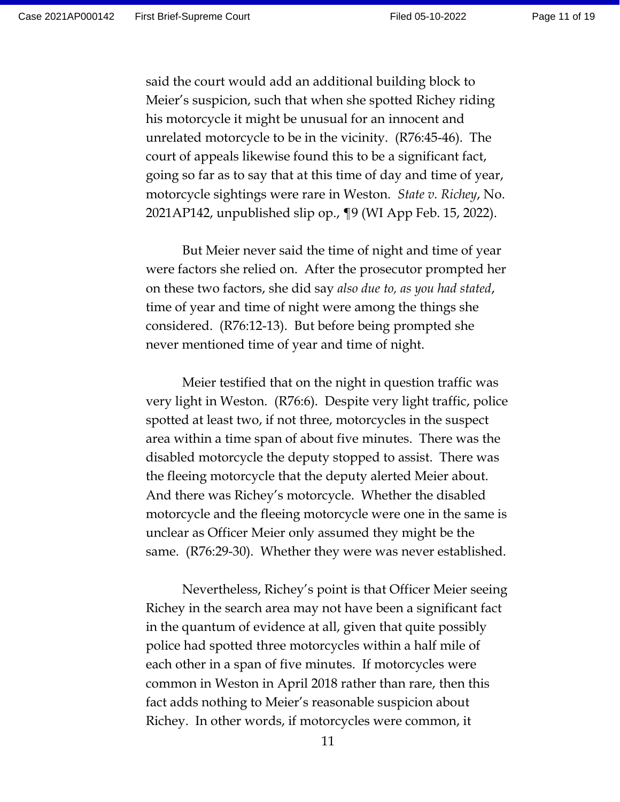Page 11 of 19

said the court would add an additional building block to Meier's suspicion, such that when she spotted Richey riding his motorcycle it might be unusual for an innocent and unrelated motorcycle to be in the vicinity. (R76:45-46). The court of appeals likewise found this to be a significant fact, going so far as to say that at this time of day and time of year, motorcycle sightings were rare in Weston. *State v. Richey*, No. 2021AP142, unpublished slip op., ¶9 (WI App Feb. 15, 2022).

But Meier never said the time of night and time of year were factors she relied on. After the prosecutor prompted her on these two factors, she did say *also due to, as you had stated*, time of year and time of night were among the things she considered. (R76:12-13). But before being prompted she never mentioned time of year and time of night.

Meier testified that on the night in question traffic was very light in Weston. (R76:6). Despite very light traffic, police spotted at least two, if not three, motorcycles in the suspect area within a time span of about five minutes. There was the disabled motorcycle the deputy stopped to assist. There was the fleeing motorcycle that the deputy alerted Meier about. And there was Richey's motorcycle. Whether the disabled motorcycle and the fleeing motorcycle were one in the same is unclear as Officer Meier only assumed they might be the same. (R76:29-30). Whether they were was never established.

Nevertheless, Richey's point is that Officer Meier seeing Richey in the search area may not have been a significant fact in the quantum of evidence at all, given that quite possibly police had spotted three motorcycles within a half mile of each other in a span of five minutes. If motorcycles were common in Weston in April 2018 rather than rare, then this fact adds nothing to Meier's reasonable suspicion about Richey. In other words, if motorcycles were common, it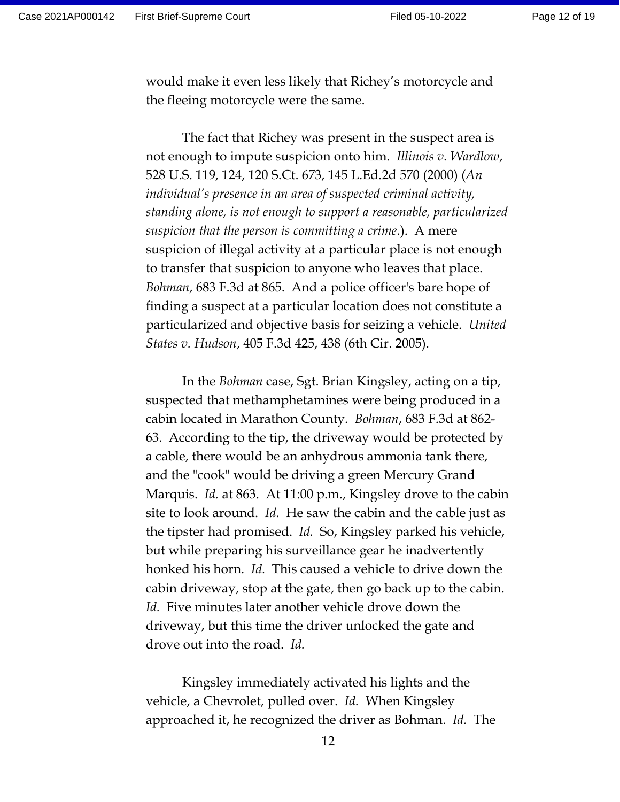would make it even less likely that Richey's motorcycle and the fleeing motorcycle were the same.

The fact that Richey was present in the suspect area is not enough to impute suspicion onto him. *Illinois v. Wardlow*, 528 U.S. 119, 124, 120 S.Ct. 673, 145 L.Ed.2d 570 (2000) (*An individual's presence in an area of suspected criminal activity, standing alone, is not enough to support a reasonable, particularized suspicion that the person is committing a crime*.). A mere suspicion of illegal activity at a particular place is not enough to transfer that suspicion to anyone who leaves that place. *Bohman*, 683 F.3d at 865. And a police officer's bare hope of finding a suspect at a particular location does not constitute a particularized and objective basis for seizing a vehicle. *United States v. Hudson*, 405 F.3d 425, 438 (6th Cir. 2005).

In the *Bohman* case, Sgt. Brian Kingsley, acting on a tip, suspected that methamphetamines were being produced in a cabin located in Marathon County. *Bohman*, 683 F.3d at 862- 63. According to the tip, the driveway would be protected by a cable, there would be an anhydrous ammonia tank there, and the "cook" would be driving a green Mercury Grand Marquis. *Id.* at 863. At 11:00 p.m., Kingsley drove to the cabin site to look around. *Id.* He saw the cabin and the cable just as the tipster had promised. *Id.* So, Kingsley parked his vehicle, but while preparing his surveillance gear he inadvertently honked his horn. *Id.* This caused a vehicle to drive down the cabin driveway, stop at the gate, then go back up to the cabin. *Id.* Five minutes later another vehicle drove down the driveway, but this time the driver unlocked the gate and drove out into the road. *Id.*

Kingsley immediately activated his lights and the vehicle, a Chevrolet, pulled over. *Id.* When Kingsley approached it, he recognized the driver as Bohman. *Id.* The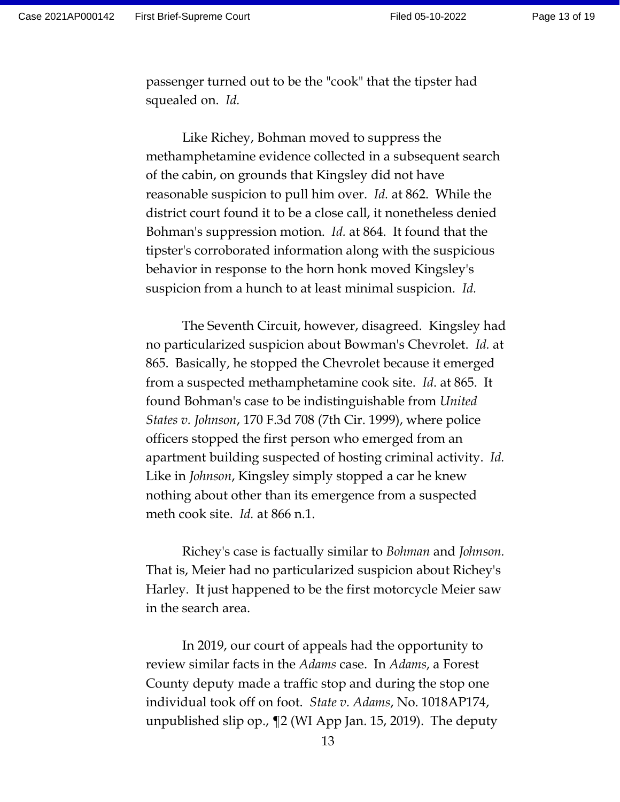passenger turned out to be the "cook" that the tipster had squealed on. *Id.*

Like Richey, Bohman moved to suppress the methamphetamine evidence collected in a subsequent search of the cabin, on grounds that Kingsley did not have reasonable suspicion to pull him over. *Id.* at 862. While the district court found it to be a close call, it nonetheless denied Bohman's suppression motion. *Id.* at 864. It found that the tipster's corroborated information along with the suspicious behavior in response to the horn honk moved Kingsley's suspicion from a hunch to at least minimal suspicion. *Id.*

The Seventh Circuit, however, disagreed. Kingsley had no particularized suspicion about Bowman's Chevrolet. *Id.* at 865. Basically, he stopped the Chevrolet because it emerged from a suspected methamphetamine cook site. *Id*. at 865. It found Bohman's case to be indistinguishable from *United States v. Johnson*, 170 F.3d 708 (7th Cir. 1999), where police officers stopped the first person who emerged from an apartment building suspected of hosting criminal activity. *Id.*  Like in *Johnson*, Kingsley simply stopped a car he knew nothing about other than its emergence from a suspected meth cook site. *Id.* at 866 n.1.

Richey's case is factually similar to *Bohman* and *Johnson.* That is, Meier had no particularized suspicion about Richey's Harley. It just happened to be the first motorcycle Meier saw in the search area.

In 2019, our court of appeals had the opportunity to review similar facts in the *Adams* case. In *Adams*, a Forest County deputy made a traffic stop and during the stop one individual took off on foot. *State v. Adams*, No. 1018AP174, unpublished slip op., ¶2 (WI App Jan. 15, 2019). The deputy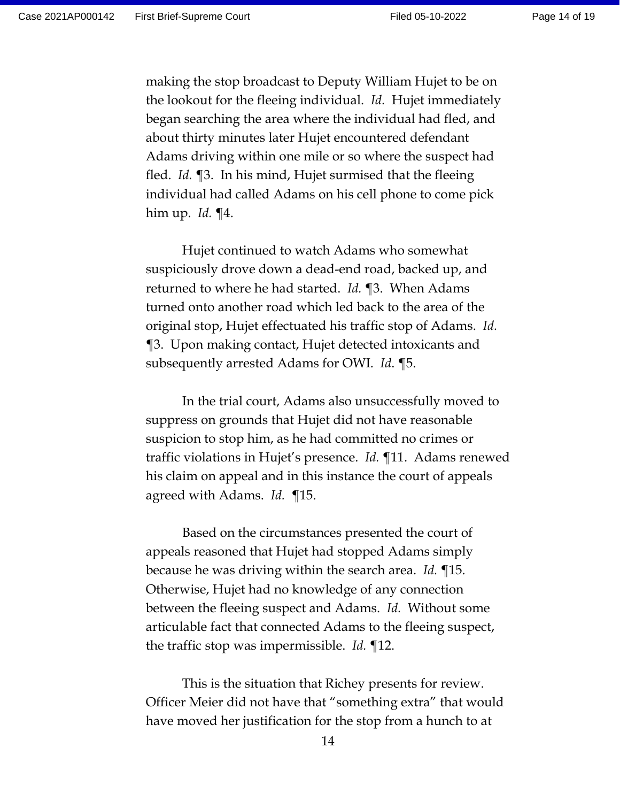making the stop broadcast to Deputy William Hujet to be on the lookout for the fleeing individual. *Id.* Hujet immediately began searching the area where the individual had fled, and about thirty minutes later Hujet encountered defendant Adams driving within one mile or so where the suspect had fled. *Id.* ¶3. In his mind, Hujet surmised that the fleeing individual had called Adams on his cell phone to come pick him up. *Id.* ¶4.

Hujet continued to watch Adams who somewhat suspiciously drove down a dead-end road, backed up, and returned to where he had started. *Id.* ¶3. When Adams turned onto another road which led back to the area of the original stop, Hujet effectuated his traffic stop of Adams. *Id.* ¶3. Upon making contact, Hujet detected intoxicants and subsequently arrested Adams for OWI. *Id*. ¶5.

In the trial court, Adams also unsuccessfully moved to suppress on grounds that Hujet did not have reasonable suspicion to stop him, as he had committed no crimes or traffic violations in Hujet's presence. *Id.* ¶11. Adams renewed his claim on appeal and in this instance the court of appeals agreed with Adams. *Id.* ¶15.

Based on the circumstances presented the court of appeals reasoned that Hujet had stopped Adams simply because he was driving within the search area. *Id.* ¶15. Otherwise, Hujet had no knowledge of any connection between the fleeing suspect and Adams. *Id.* Without some articulable fact that connected Adams to the fleeing suspect, the traffic stop was impermissible. *Id.* ¶12.

This is the situation that Richey presents for review. Officer Meier did not have that "something extra" that would have moved her justification for the stop from a hunch to at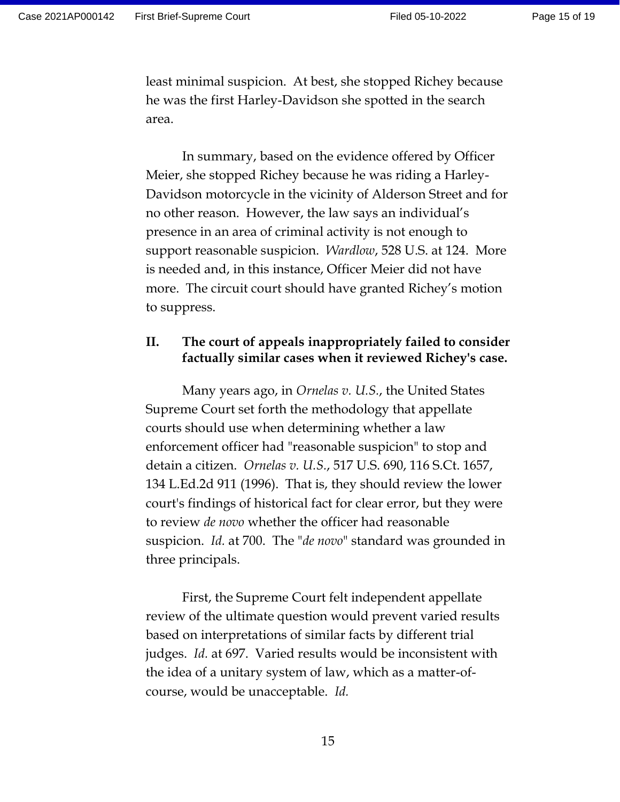least minimal suspicion. At best, she stopped Richey because he was the first Harley-Davidson she spotted in the search area.

In summary, based on the evidence offered by Officer Meier, she stopped Richey because he was riding a Harley-Davidson motorcycle in the vicinity of Alderson Street and for no other reason. However, the law says an individual's presence in an area of criminal activity is not enough to support reasonable suspicion. *Wardlow*, 528 U.S. at 124. More is needed and, in this instance, Officer Meier did not have more. The circuit court should have granted Richey's motion to suppress.

# **II. The court of appeals inappropriately failed to consider factually similar cases when it reviewed Richey's case.**

Many years ago, in *Ornelas v. U.S.*, the United States Supreme Court set forth the methodology that appellate courts should use when determining whether a law enforcement officer had "reasonable suspicion" to stop and detain a citizen. *Ornelas v. U.S.*, 517 U.S. 690, 116 S.Ct. 1657, 134 L.Ed.2d 911 (1996). That is, they should review the lower court's findings of historical fact for clear error, but they were to review *de novo* whether the officer had reasonable suspicion. *Id.* at 700. The "*de novo*" standard was grounded in three principals.

First, the Supreme Court felt independent appellate review of the ultimate question would prevent varied results based on interpretations of similar facts by different trial judges. *Id.* at 697. Varied results would be inconsistent with the idea of a unitary system of law, which as a matter-ofcourse, would be unacceptable. *Id.*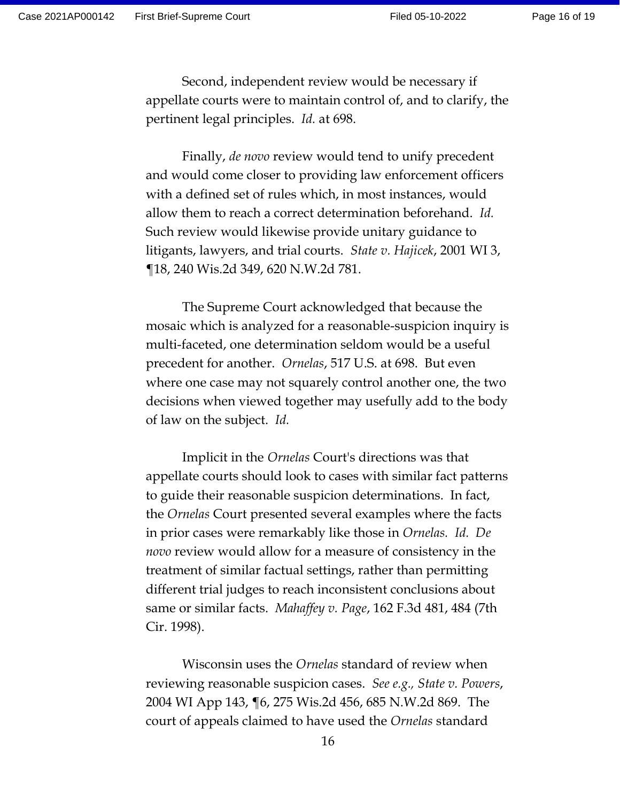Second, independent review would be necessary if appellate courts were to maintain control of, and to clarify, the pertinent legal principles. *Id.* at 698.

Finally, *de novo* review would tend to unify precedent and would come closer to providing law enforcement officers with a defined set of rules which, in most instances, would allow them to reach a correct determination beforehand. *Id.* Such review would likewise provide unitary guidance to litigants, lawyers, and trial courts. *State v. Hajicek*, 2001 WI 3, ¶18, 240 Wis.2d 349, 620 N.W.2d 781.

The Supreme Court acknowledged that because the mosaic which is analyzed for a reasonable-suspicion inquiry is multi-faceted, one determination seldom would be a useful precedent for another. *Ornelas*, 517 U.S. at 698. But even where one case may not squarely control another one, the two decisions when viewed together may usefully add to the body of law on the subject. *Id.*

Implicit in the *Ornelas* Court's directions was that appellate courts should look to cases with similar fact patterns to guide their reasonable suspicion determinations. In fact, the *Ornelas* Court presented several examples where the facts in prior cases were remarkably like those in *Ornelas. Id. De novo* review would allow for a measure of consistency in the treatment of similar factual settings, rather than permitting different trial judges to reach inconsistent conclusions about same or similar facts. *Mahaffey v. Page*, 162 F.3d 481, 484 (7th Cir. 1998).

Wisconsin uses the *Ornelas* standard of review when reviewing reasonable suspicion cases. *See e.g., State v. Powers*, 2004 WI App 143, ¶6, 275 Wis.2d 456, 685 N.W.2d 869. The court of appeals claimed to have used the *Ornelas* standard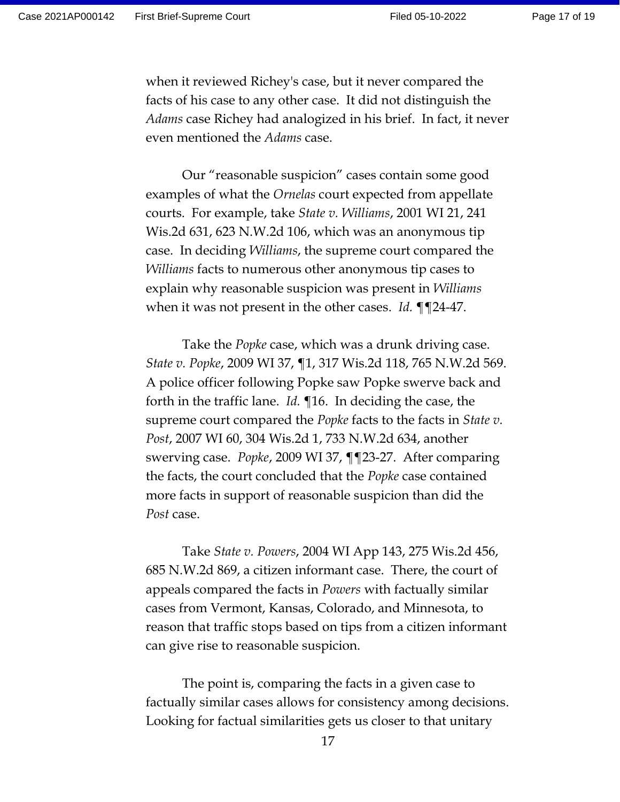Page 17 of 19

when it reviewed Richey's case, but it never compared the facts of his case to any other case. It did not distinguish the *Adams* case Richey had analogized in his brief. In fact, it never even mentioned the *Adams* case.

Our "reasonable suspicion" cases contain some good examples of what the *Ornelas* court expected from appellate courts. For example, take *State v. Williams*, 2001 WI 21, 241 Wis.2d 631, 623 N.W.2d 106, which was an anonymous tip case. In deciding *Williams*, the supreme court compared the *Williams* facts to numerous other anonymous tip cases to explain why reasonable suspicion was present in *Williams* when it was not present in the other cases. *Id.* ¶¶24-47.

Take the *Popke* case, which was a drunk driving case. *State v. Popke*, 2009 WI 37, ¶1, 317 Wis.2d 118, 765 N.W.2d 569. A police officer following Popke saw Popke swerve back and forth in the traffic lane. *Id.* ¶16. In deciding the case, the supreme court compared the *Popke* facts to the facts in *State v. Post*, 2007 WI 60, 304 Wis.2d 1, 733 N.W.2d 634, another swerving case. *Popke*, 2009 WI 37, ¶¶23-27. After comparing the facts, the court concluded that the *Popke* case contained more facts in support of reasonable suspicion than did the *Post* case.

Take *State v. Powers*, 2004 WI App 143, 275 Wis.2d 456, 685 N.W.2d 869, a citizen informant case. There, the court of appeals compared the facts in *Powers* with factually similar cases from Vermont, Kansas, Colorado, and Minnesota, to reason that traffic stops based on tips from a citizen informant can give rise to reasonable suspicion.

The point is, comparing the facts in a given case to factually similar cases allows for consistency among decisions. Looking for factual similarities gets us closer to that unitary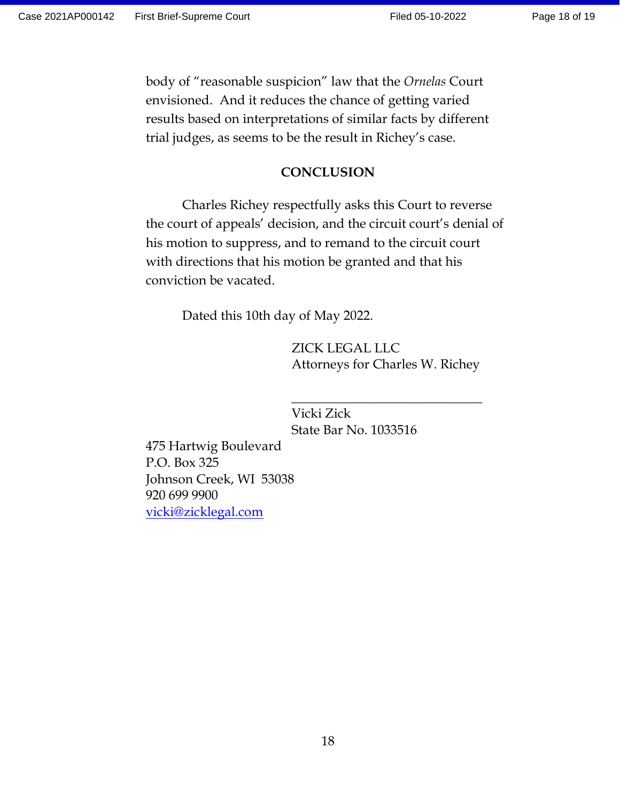Page 18 of 19

body of "reasonable suspicion" law that the *Ornelas* Court envisioned. And it reduces the chance of getting varied results based on interpretations of similar facts by different trial judges, as seems to be the result in Richey's case.

## **CONCLUSION**

Charles Richey respectfully asks this Court to reverse the court of appeals' decision, and the circuit court's denial of his motion to suppress, and to remand to the circuit court with directions that his motion be granted and that his conviction be vacated.

Dated this 10th day of May 2022.

ZICK LEGAL LLC Attorneys for Charles W. Richey

\_\_\_\_\_\_\_\_\_\_\_\_\_\_\_\_\_\_\_\_\_\_\_\_\_\_\_\_\_

Vicki Zick State Bar No. 1033516

475 Hartwig Boulevard P.O. Box 325 Johnson Creek, WI 53038 920 699 9900 [vicki@zicklegal.com](mailto:vicki@zicklegal.com)